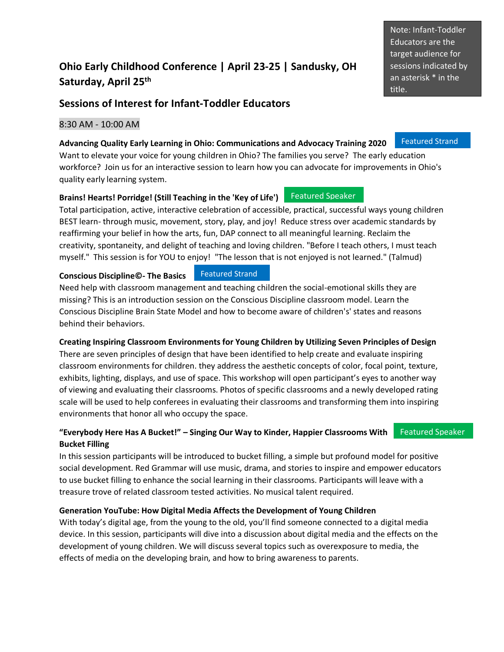## **Ohio Early Childhood Conference | April 23-25 | Sandusky, OH Saturday, April 25 th**

## **Sessions of Interest for Infant-Toddler Educators**

## 8:30 AM - 10:00 AM

#### **Advancing Quality Early Learning in Ohio: Communications and Advocacy Training 2020** Featured Strand

Want to elevate your voice for young children in Ohio? The families you serve? The early education workforce? Join us for an interactive session to learn how you can advocate for improvements in Ohio's quality early learning system.

#### **Brains! Hearts! Porridge! (Still Teaching in the 'Key of Life')** Featured Speaker

Total participation, active, interactive celebration of accessible, practical, successful ways young children BEST learn- through music, movement, story, play, and joy! Reduce stress over academic standards by reaffirming your belief in how the arts, fun, DAP connect to all meaningful learning. Reclaim the creativity, spontaneity, and delight of teaching and loving children. "Before I teach others, I must teach myself." This session is for YOU to enjoy! "The lesson that is not enjoyed is not learned." (Talmud)

#### **Conscious Discipline©- The Basics** Featured Strand

Need help with classroom management and teaching children the social-emotional skills they are missing? This is an introduction session on the Conscious Discipline classroom model. Learn the Conscious Discipline Brain State Model and how to become aware of children's' states and reasons behind their behaviors.

## **Creating Inspiring Classroom Environments for Young Children by Utilizing Seven Principles of Design**

There are seven principles of design that have been identified to help create and evaluate inspiring classroom environments for children. they address the aesthetic concepts of color, focal point, texture, exhibits, lighting, displays, and use of space. This workshop will open participant's eyes to another way of viewing and evaluating their classrooms. Photos of specific classrooms and a newly developed rating scale will be used to help conferees in evaluating their classrooms and transforming them into inspiring environments that honor all who occupy the space.

## **"Everybody Here Has A Bucket!" – Singing Our Way to Kinder, Happier Classrooms With Bucket Filling**

In this session participants will be introduced to bucket filling, a simple but profound model for positive social development. Red Grammar will use music, drama, and stories to inspire and empower educators to use bucket filling to enhance the social learning in their classrooms. Participants will leave with a treasure trove of related classroom tested activities. No musical talent required.

## **Generation YouTube: How Digital Media Affects the Development of Young Children**

With today's digital age, from the young to the old, you'll find someone connected to a digital media device. In this session, participants will dive into a discussion about digital media and the effects on the development of young children. We will discuss several topics such as overexposure to media, the effects of media on the developing brain, and how to bring awareness to parents.

Note: Infant-Toddler Educators are the target audience for sessions indicated by an asterisk \* in the title.

# Featured Speaker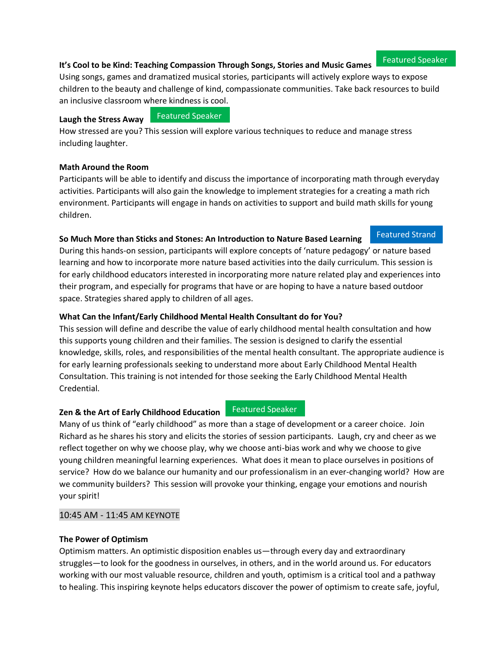## **It's Cool to be Kind: Teaching Compassion Through Songs, Stories and Music Games**

Using songs, games and dramatized musical stories, participants will actively explore ways to expose children to the beauty and challenge of kind, compassionate communities. Take back resources to build an inclusive classroom where kindness is cool.

#### **Laugh the Stress Away**

Featured Speaker

How stressed are you? This session will explore various techniques to reduce and manage stress including laughter.

#### **Math Around the Room**

Participants will be able to identify and discuss the importance of incorporating math through everyday activities. Participants will also gain the knowledge to implement strategies for a creating a math rich environment. Participants will engage in hands on activities to support and build math skills for young children.

#### **So Much More than Sticks and Stones: An Introduction to Nature Based Learning**

During this hands-on session, participants will explore concepts of 'nature pedagogy' or nature based learning and how to incorporate more nature based activities into the daily curriculum. This session is for early childhood educators interested in incorporating more nature related play and experiences into their program, and especially for programs that have or are hoping to have a nature based outdoor space. Strategies shared apply to children of all ages.

## **What Can the Infant/Early Childhood Mental Health Consultant do for You?**

This session will define and describe the value of early childhood mental health consultation and how this supports young children and their families. The session is designed to clarify the essential knowledge, skills, roles, and responsibilities of the mental health consultant. The appropriate audience is for early learning professionals seeking to understand more about Early Childhood Mental Health Consultation. This training is not intended for those seeking the Early Childhood Mental Health Credential.

#### **Zen & the Art of Early Childhood Education Featured Speaker**

Many of us think of "early childhood" as more than a stage of development or a career choice. Join Richard as he shares his story and elicits the stories of session participants. Laugh, cry and cheer as we reflect together on why we choose play, why we choose anti-bias work and why we choose to give young children meaningful learning experiences. What does it mean to place ourselves in positions of service? How do we balance our humanity and our professionalism in an ever-changing world? How are we community builders? This session will provoke your thinking, engage your emotions and nourish your spirit!

#### 10:45 AM - 11:45 AM KEYNOTE

#### **The Power of Optimism**

Optimism matters. An optimistic disposition enables us—through every day and extraordinary struggles—to look for the goodness in ourselves, in others, and in the world around us. For educators working with our most valuable resource, children and youth, optimism is a critical tool and a pathway to healing. This inspiring keynote helps educators discover the power of optimism to create safe, joyful,

#### Featured Speaker

Featured Strand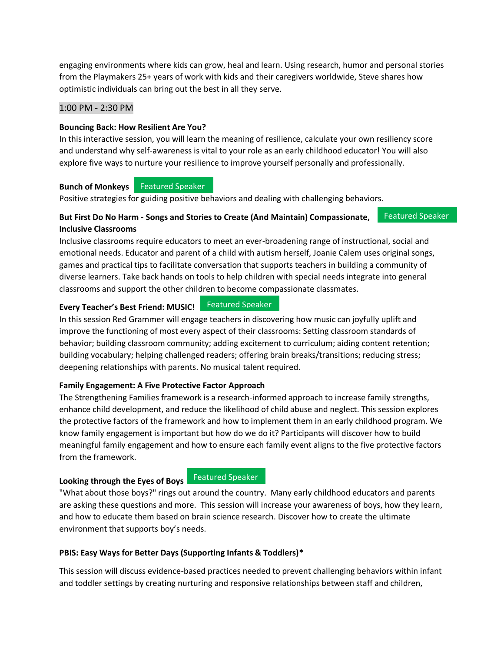engaging environments where kids can grow, heal and learn. Using research, humor and personal stories from the Playmakers 25+ years of work with kids and their caregivers worldwide, Steve shares how optimistic individuals can bring out the best in all they serve.

#### 1:00 PM - 2:30 PM

#### **Bouncing Back: How Resilient Are You?**

In this interactive session, you will learn the meaning of resilience, calculate your own resiliency score and understand why self-awareness is vital to your role as an early childhood educator! You will also explore five ways to nurture your resilience to improve yourself personally and professionally.

## **Bunch of Monkeys**  Featured Speaker

Positive strategies for guiding positive behaviors and dealing with challenging behaviors.

#### **But First Do No Harm - Songs and Stories to Create (And Maintain) Compassionate, Inclusive Classrooms** Featured Speaker

Inclusive classrooms require educators to meet an ever-broadening range of instructional, social and emotional needs. Educator and parent of a child with autism herself, Joanie Calem uses original songs, games and practical tips to facilitate conversation that supports teachers in building a community of diverse learners. Take back hands on tools to help children with special needs integrate into general classrooms and support the other children to become compassionate classmates.

#### **Every Teacher's Best Friend: MUSIC!**

**Featured Speaker** 

In this session Red Grammer will engage teachers in discovering how music can joyfully uplift and improve the functioning of most every aspect of their classrooms: Setting classroom standards of behavior; building classroom community; adding excitement to curriculum; aiding content retention; building vocabulary; helping challenged readers; offering brain breaks/transitions; reducing stress; deepening relationships with parents. No musical talent required.

#### **Family Engagement: A Five Protective Factor Approach**

The Strengthening Families framework is a research-informed approach to increase family strengths, enhance child development, and reduce the likelihood of child abuse and neglect. This session explores the protective factors of the framework and how to implement them in an early childhood program. We know family engagement is important but how do we do it? Participants will discover how to build meaningful family engagement and how to ensure each family event aligns to the five protective factors from the framework.

#### **Looking through the Eyes of Boys**

**Featured Speaker** 

"What about those boys?" rings out around the country. Many early childhood educators and parents are asking these questions and more. This session will increase your awareness of boys, how they learn, and how to educate them based on brain science research. Discover how to create the ultimate environment that supports boy's needs.

#### **PBIS: Easy Ways for Better Days (Supporting Infants & Toddlers)\***

This session will discuss evidence-based practices needed to prevent challenging behaviors within infant and toddler settings by creating nurturing and responsive relationships between staff and children,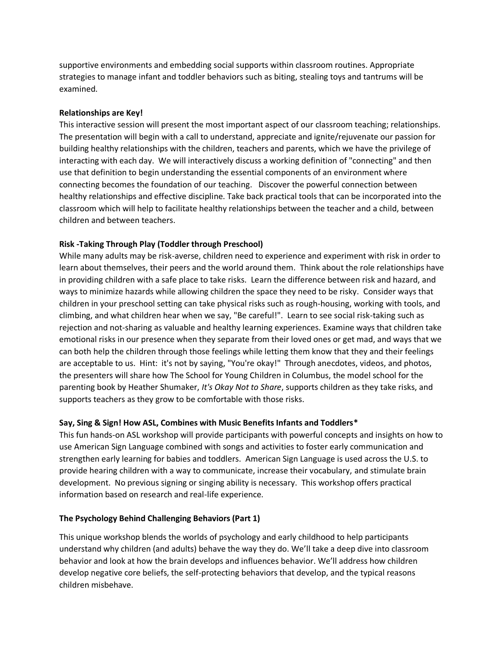supportive environments and embedding social supports within classroom routines. Appropriate strategies to manage infant and toddler behaviors such as biting, stealing toys and tantrums will be examined.

#### **Relationships are Key!**

This interactive session will present the most important aspect of our classroom teaching; relationships. The presentation will begin with a call to understand, appreciate and ignite/rejuvenate our passion for building healthy relationships with the children, teachers and parents, which we have the privilege of interacting with each day. We will interactively discuss a working definition of "connecting" and then use that definition to begin understanding the essential components of an environment where connecting becomes the foundation of our teaching. Discover the powerful connection between healthy relationships and effective discipline. Take back practical tools that can be incorporated into the classroom which will help to facilitate healthy relationships between the teacher and a child, between children and between teachers.

#### **Risk -Taking Through Play (Toddler through Preschool)**

While many adults may be risk-averse, children need to experience and experiment with risk in order to learn about themselves, their peers and the world around them. Think about the role relationships have in providing children with a safe place to take risks. Learn the difference between risk and hazard, and ways to minimize hazards while allowing children the space they need to be risky. Consider ways that children in your preschool setting can take physical risks such as rough-housing, working with tools, and climbing, and what children hear when we say, "Be careful!". Learn to see social risk-taking such as rejection and not-sharing as valuable and healthy learning experiences. Examine ways that children take emotional risks in our presence when they separate from their loved ones or get mad, and ways that we can both help the children through those feelings while letting them know that they and their feelings are acceptable to us. Hint: it's not by saying, "You're okay!" Through anecdotes, videos, and photos, the presenters will share how The School for Young Children in Columbus, the model school for the parenting book by Heather Shumaker, *It's Okay Not to Share*, supports children as they take risks, and supports teachers as they grow to be comfortable with those risks.

#### **Say, Sing & Sign! How ASL, Combines with Music Benefits Infants and Toddlers\***

This fun hands-on ASL workshop will provide participants with powerful concepts and insights on how to use American Sign Language combined with songs and activities to foster early communication and strengthen early learning for babies and toddlers. American Sign Language is used across the U.S. to provide hearing children with a way to communicate, increase their vocabulary, and stimulate brain development. No previous signing or singing ability is necessary. This workshop offers practical information based on research and real-life experience.

#### **The Psychology Behind Challenging Behaviors (Part 1)**

This unique workshop blends the worlds of psychology and early childhood to help participants understand why children (and adults) behave the way they do. We'll take a deep dive into classroom behavior and look at how the brain develops and influences behavior. We'll address how children develop negative core beliefs, the self-protecting behaviors that develop, and the typical reasons children misbehave.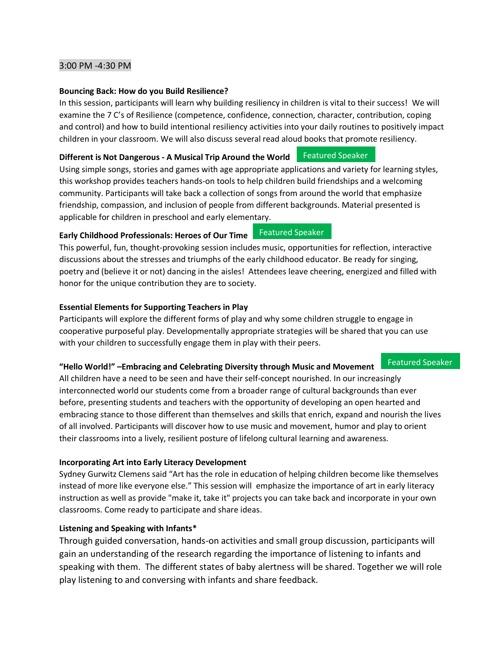#### 3:00 PM -4:30 PM

#### **Bouncing Back: How do you Build Resilience?**

In this session, participants will learn why building resiliency in children is vital to their success! We will examine the 7 C's of Resilience (competence, confidence, connection, character, contribution, coping and control) and how to build intentional resiliency activities into your daily routines to positively impact children in your classroom. We will also discuss several read aloud books that promote resiliency.

#### **Different is Not Dangerous - A Musical Trip Around the World** Featured Speaker

Using simple songs, stories and games with age appropriate applications and variety for learning styles, this workshop provides teachers hands-on tools to help children build friendships and a welcoming community. Participants will take back a collection of songs from around the world that emphasize friendship, compassion, and inclusion of people from different backgrounds. Material presented is applicable for children in preschool and early elementary.

#### **Early Childhood Professionals: Heroes of Our Time**

This powerful, fun, thought-provoking session includes music, opportunities for reflection, interactive discussions about the stresses and triumphs of the early childhood educator. Be ready for singing, poetry and (believe it or not) dancing in the aisles! Attendees leave cheering, energized and filled with honor for the unique contribution they are to society.

#### **Essential Elements for Supporting Teachers in Play**

Participants will explore the different forms of play and why some children struggle to engage in cooperative purposeful play. Developmentally appropriate strategies will be shared that you can use with your children to successfully engage them in play with their peers.

#### **"Hello World!" –Embracing and Celebrating Diversity through Music and Movement**

All children have a need to be seen and have their self-concept nourished. In our increasingly interconnected world our students come from a broader range of cultural backgrounds than ever before, presenting students and teachers with the opportunity of developing an open hearted and embracing stance to those different than themselves and skills that enrich, expand and nourish the lives of all involved. Participants will discover how to use music and movement, humor and play to orient their classrooms into a lively, resilient posture of lifelong cultural learning and awareness.

#### **Incorporating Art into Early Literacy Development**

Sydney Gurwitz Clemens said "Art has the role in education of helping children become like themselves instead of more like everyone else." This session will emphasize the importance of art in early literacy instruction as well as provide "make it, take it" projects you can take back and incorporate in your own classrooms. Come ready to participate and share ideas.

#### **Listening and Speaking with Infants\***

Through guided conversation, hands-on activities and small group discussion, participants will gain an understanding of the research regarding the importance of listening to infants and speaking with them. The different states of baby alertness will be shared. Together we will role play listening to and conversing with infants and share feedback.

Featured Speaker

Featured Speaker